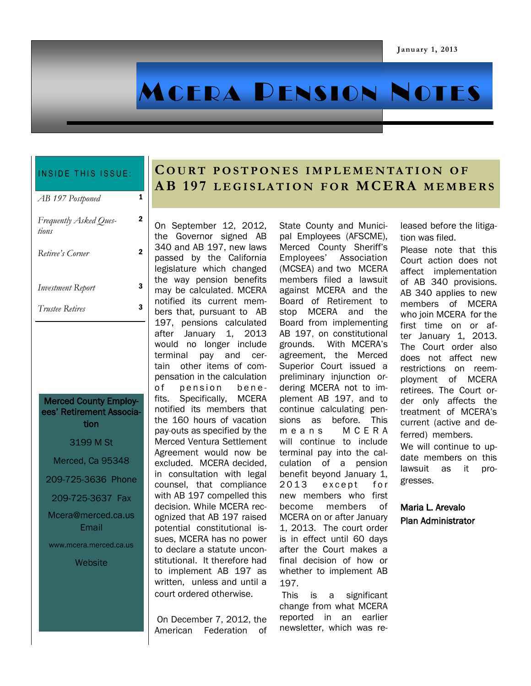# MCERA PENSION NOTES

#### INSIDE THIS ISSUE:

| AB 197 Postponed                |   |
|---------------------------------|---|
| Frequently Asked Ques-<br>tions | 2 |
| Retiree's Corner                | 2 |

2

*Investment Report* 3

*Trustee Retires* 3

#### Merced County Employees' Retirement Association

3199 M St Merced, Ca 95348 209-725-3636 Phone 209-725-3637 Fax Mcera@merced.ca.us **Email** www.mcera.merced.ca.us **Website** 

## **C O U R T P O S T P O N E S I M P L E M E N TA T I O N O F A B 1 9 7 L E G I S L A T I O N F O R M C E R A M E M B E R S**

On September 12, 2012, the Governor signed AB 340 and AB 197, new laws passed by the California legislature which changed the way pension benefits may be calculated. MCERA notified its current members that, pursuant to AB 197, pensions calculated after January 1, 2013 would no longer include terminal pay and certain other items of compensation in the calculation of pension benefits. Specifically, MCERA notified its members that the 160 hours of vacation pay-outs as specified by the Merced Ventura Settlement Agreement would now be excluded. MCERA decided, in consultation with legal counsel, that compliance with AB 197 compelled this decision. While MCERA recognized that AB 197 raised potential constitutional issues, MCERA has no power to declare a statute unconstitutional. It therefore had to implement AB 197 as written, unless and until a court ordered otherwise.

On December 7, 2012, the American Federation of State County and Municipal Employees (AFSCME), Merced County Sheriff's Employees' Association (MCSEA) and two MCERA members filed a lawsuit against MCERA and the Board of Retirement to stop MCERA and the Board from implementing AB 197, on constitutional grounds. With MCERA's agreement, the Merced Superior Court issued a preliminary injunction ordering MCERA not to implement AB 197, and to continue calculating pensions as before. This means MCERA will continue to include terminal pay into the calculation of a pension benefit beyond January 1, 2013 except for new members who first become members of MCERA on or after January 1, 2013. The court order is in effect until 60 days after the Court makes a final decision of how or whether to implement AB 197.

This is a significant change from what MCERA reported in an earlier newsletter, which was released before the litigation was filed.

Please note that this Court action does not affect implementation of AB 340 provisions. AB 340 applies to new members of MCERA who join MCERA for the first time on or after January 1, 2013. The Court order also does not affect new restrictions on reemployment of MCERA retirees. The Court order only affects the treatment of MCERA's current (active and deferred) members.

We will continue to update members on this lawsuit as it progresses.

Maria L. Arevalo Plan Administrator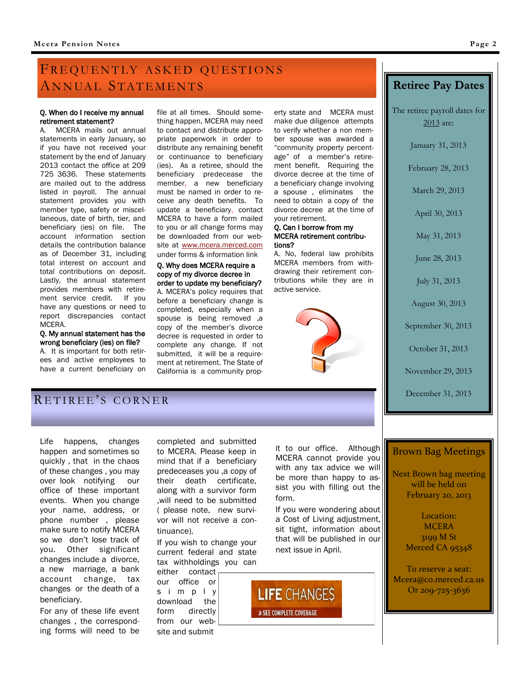## FREQUENTLY ASKED QUESTIONS ANNUAL STATEMENTS

#### Q. When do I receive my annual retirement statement?

A. MCERA mails out annual statements in early January, so if you have not received your statement by the end of January 2013 contact the office at 209 725 3636. These statements are mailed out to the address listed in payroll. The annual statement provides you with member type, safety or miscellaneous, date of birth, tier, and beneficiary (ies) on file. The account information section details the contribution balance as of December 31, including total interest on account and total contributions on deposit. Lastly, the annual statement provides members with retirement service credit. If you have any questions or need to report discrepancies contact MCERA.

Q. My annual statement has the wrong beneficiary (ies) on file?

A. It is important for both retirees and active employees to have a current beneficiary on file at all times. Should something happen, MCERA may need to contact and distribute appropriate paperwork in order to distribute any remaining benefit or continuance to beneficiary (ies). As a retiree, should the beneficiary predecease the member, a new beneficiary must be named in order to receive any death benefits. To update a beneficiary, contact MCERA to have a form mailed to you or all change forms may be downloaded from our website at [www.mcera.merced.com](http://www.mcera.merced.com)  under forms & information link

#### Q. Why does MCERA require a copy of my divorce decree in order to update my beneficiary? A. MCERA's policy requires that before a beneficiary change is completed, especially when a spouse is being removed ,a copy of the member's divorce decree is requested in order to complete any change. If not submitted, it will be a requirement at retirement. The State of California is a community prop-

erty state and MCERA must make due diligence attempts to verify whether a non member spouse was awarded a "community property percentage" of a member's retirement benefit. Requiring the divorce decree at the time of a beneficiary change involving a spouse , eliminates the need to obtain a copy of the divorce decree at the time of your retirement.

#### Q. Can I borrow from my MCERA retirement contributions?

A. No, federal law prohibits MCERA members from withdrawing their retirement contributions while they are in active service.



## **Retiree Pay Dates**

The retiree payroll dates for 2013 are:

January 31, 2013

February 28, 2013

March 29, 2013

April 30, 2013

May 31, 2013

June 28, 2013

July 31, 2013

August 30, 2013

September 30, 2013

October 31, 2013

November 29, 2013

December 31, 2013

## RETIREE'S CORNER

Life happens, changes happen and sometimes so quickly , that in the chaos of these changes , you may over look notifying our office of these important events. When you change your name, address, or phone number , please make sure to notify MCERA so we don't lose track of you. Other significant changes include a divorce, a new marriage, a bank account change, tax changes or the death of a beneficiary.

For any of these life event changes , the corresponding forms will need to be completed and submitted to MCERA. Please keep in mind that if a beneficiary predeceases you ,a copy of their death certificate, along with a survivor form ,will need to be submitted ( please note, new survivor will not receive a continuance).

If you wish to change your current federal and state tax withholdings you can

either contact our office or s i m p l y download the form directly from our website and submit

it to our office. Although MCERA cannot provide you with any tax advice we will be more than happy to assist you with filling out the form.

If you were wondering about a Cost of Living adjustment, sit tight, information about that will be published in our next issue in April.

**LIFE CHANGES** » SEE COMPLETE COVERAGE

#### Brown Bag Meetings

Next Brown bag meeting will be held on February 20, 2013

> Location: **MCERA** 3199 M St Merced CA 95348

To reserve a seat: Mcera@co.merced.ca.us Or 209-725-3636